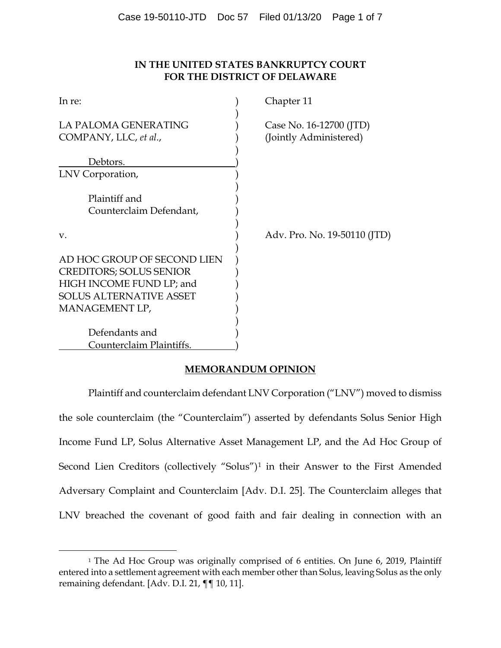# **IN THE UNITED STATES BANKRUPTCY COURT FOR THE DISTRICT OF DELAWARE**

| In re:                                                                                                                                        | Chapter 11                                        |
|-----------------------------------------------------------------------------------------------------------------------------------------------|---------------------------------------------------|
| LA PALOMA GENERATING<br>COMPANY, LLC, et al.,                                                                                                 | Case No. 16-12700 (JTD)<br>(Jointly Administered) |
| Debtors.                                                                                                                                      |                                                   |
| LNV Corporation,                                                                                                                              |                                                   |
| Plaintiff and<br>Counterclaim Defendant,                                                                                                      |                                                   |
| V.                                                                                                                                            | Adv. Pro. No. 19-50110 (JTD)                      |
| AD HOC GROUP OF SECOND LIEN<br><b>CREDITORS; SOLUS SENIOR</b><br>HIGH INCOME FUND LP; and<br><b>SOLUS ALTERNATIVE ASSET</b><br>MANAGEMENT LP, |                                                   |
| Defendants and                                                                                                                                |                                                   |
| Counterclaim Plaintiffs.                                                                                                                      |                                                   |

# **MEMORANDUM OPINION**

Plaintiff and counterclaim defendant LNV Corporation ("LNV") moved to dismiss the sole counterclaim (the "Counterclaim") asserted by defendants Solus Senior High Income Fund LP, Solus Alternative Asset Management LP, and the Ad Hoc Group of Second Lien Creditors (collectively "Solus")1 in their Answer to the First Amended Adversary Complaint and Counterclaim [Adv. D.I. 25]. The Counterclaim alleges that LNV breached the covenant of good faith and fair dealing in connection with an

<sup>&</sup>lt;sup>1</sup> The Ad Hoc Group was originally comprised of 6 entities. On June 6, 2019, Plaintiff entered into a settlement agreement with each member other than Solus, leaving Solus as the only remaining defendant. [Adv. D.I. 21, ¶¶ 10, 11].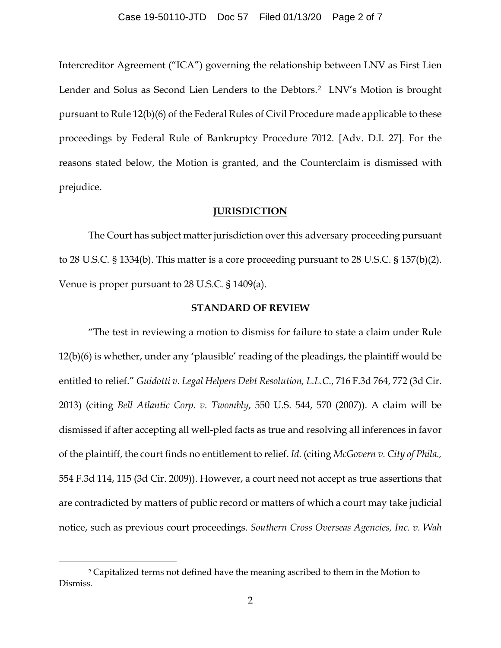Intercreditor Agreement ("ICA") governing the relationship between LNV as First Lien Lender and Solus as Second Lien Lenders to the Debtors.<sup>2</sup> LNV's Motion is brought pursuant to Rule 12(b)(6) of the Federal Rules of Civil Procedure made applicable to these proceedings by Federal Rule of Bankruptcy Procedure 7012. [Adv. D.I. 27]. For the reasons stated below, the Motion is granted, and the Counterclaim is dismissed with prejudice.

## **JURISDICTION**

The Court has subject matter jurisdiction over this adversary proceeding pursuant to 28 U.S.C. § 1334(b). This matter is a core proceeding pursuant to 28 U.S.C. § 157(b)(2). Venue is proper pursuant to 28 U.S.C. § 1409(a).

## **STANDARD OF REVIEW**

"The test in reviewing a motion to dismiss for failure to state a claim under Rule 12(b)(6) is whether, under any 'plausible' reading of the pleadings, the plaintiff would be entitled to relief." *Guidotti v. Legal Helpers Debt Resolution, L.L.C*., 716 F.3d 764, 772 (3d Cir. 2013) (citing *Bell Atlantic Corp. v. Twombly*, 550 U.S. 544, 570 (2007)). A claim will be dismissed if after accepting all well-pled facts as true and resolving all inferences in favor of the plaintiff, the court finds no entitlement to relief. *Id.* (citing *McGovern v. City of Phila.,* 554 F.3d 114, 115 (3d Cir. 2009)). However, a court need not accept as true assertions that are contradicted by matters of public record or matters of which a court may take judicial notice, such as previous court proceedings. *Southern Cross Overseas Agencies, Inc. v. Wah* 

<sup>&</sup>lt;sup>2</sup> Capitalized terms not defined have the meaning ascribed to them in the Motion to Dismiss.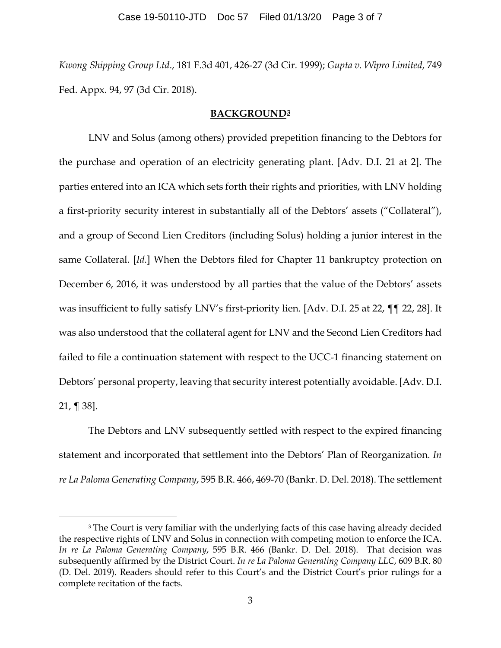*Kwong Shipping Group Ltd*., 181 F.3d 401, 426-27 (3d Cir. 1999); *Gupta v. Wipro Limited*, 749 Fed. Appx. 94, 97 (3d Cir. 2018).

### **BACKGROUND3**

LNV and Solus (among others) provided prepetition financing to the Debtors for the purchase and operation of an electricity generating plant. [Adv. D.I. 21 at 2]. The parties entered into an ICA which sets forth their rights and priorities, with LNV holding a first-priority security interest in substantially all of the Debtors' assets ("Collateral"), and a group of Second Lien Creditors (including Solus) holding a junior interest in the same Collateral. [*Id.*] When the Debtors filed for Chapter 11 bankruptcy protection on December 6, 2016, it was understood by all parties that the value of the Debtors' assets was insufficient to fully satisfy LNV's first-priority lien. [Adv. D.I. 25 at 22, ¶¶ 22, 28]. It was also understood that the collateral agent for LNV and the Second Lien Creditors had failed to file a continuation statement with respect to the UCC-1 financing statement on Debtors' personal property, leaving that security interest potentially avoidable. [Adv. D.I. 21, ¶ 38].

The Debtors and LNV subsequently settled with respect to the expired financing statement and incorporated that settlement into the Debtors' Plan of Reorganization. *In re La Paloma Generating Company*, 595 B.R. 466, 469-70 (Bankr. D. Del. 2018). The settlement

<sup>&</sup>lt;sup>3</sup> The Court is very familiar with the underlying facts of this case having already decided the respective rights of LNV and Solus in connection with competing motion to enforce the ICA. *In re La Paloma Generating Company*, 595 B.R. 466 (Bankr. D. Del. 2018). That decision was subsequently affirmed by the District Court. *In re La Paloma Generating Company LLC*, 609 B.R. 80 (D. Del. 2019). Readers should refer to this Court's and the District Court's prior rulings for a complete recitation of the facts.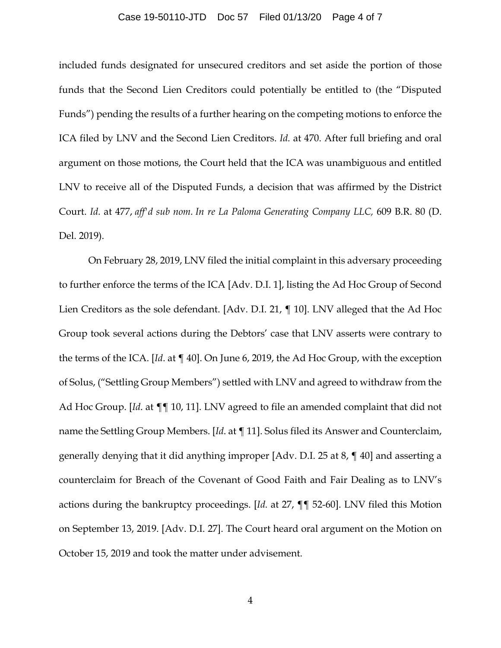#### Case 19-50110-JTD Doc 57 Filed 01/13/20 Page 4 of 7

included funds designated for unsecured creditors and set aside the portion of those funds that the Second Lien Creditors could potentially be entitled to (the "Disputed Funds") pending the results of a further hearing on the competing motions to enforce the ICA filed by LNV and the Second Lien Creditors. *Id.* at 470. After full briefing and oral argument on those motions, the Court held that the ICA was unambiguous and entitled LNV to receive all of the Disputed Funds, a decision that was affirmed by the District Court. *Id.* at 477, *aff'd sub nom. In re La Paloma Generating Company LLC,* 609 B.R. 80 (D. Del. 2019).

On February 28, 2019, LNV filed the initial complaint in this adversary proceeding to further enforce the terms of the ICA [Adv. D.I. 1], listing the Ad Hoc Group of Second Lien Creditors as the sole defendant. [Adv. D.I. 21, ¶ 10]. LNV alleged that the Ad Hoc Group took several actions during the Debtors' case that LNV asserts were contrary to the terms of the ICA. [*Id*. at ¶ 40]. On June 6, 2019, the Ad Hoc Group, with the exception of Solus, ("Settling Group Members") settled with LNV and agreed to withdraw from the Ad Hoc Group. [*Id*. at ¶¶ 10, 11]. LNV agreed to file an amended complaint that did not name the Settling Group Members. [*Id*. at ¶ 11]. Solus filed its Answer and Counterclaim, generally denying that it did anything improper [Adv. D.I. 25 at 8, ¶ 40] and asserting a counterclaim for Breach of the Covenant of Good Faith and Fair Dealing as to LNV's actions during the bankruptcy proceedings. [*Id.* at 27, ¶¶ 52-60]. LNV filed this Motion on September 13, 2019. [Adv. D.I. 27]. The Court heard oral argument on the Motion on October 15, 2019 and took the matter under advisement.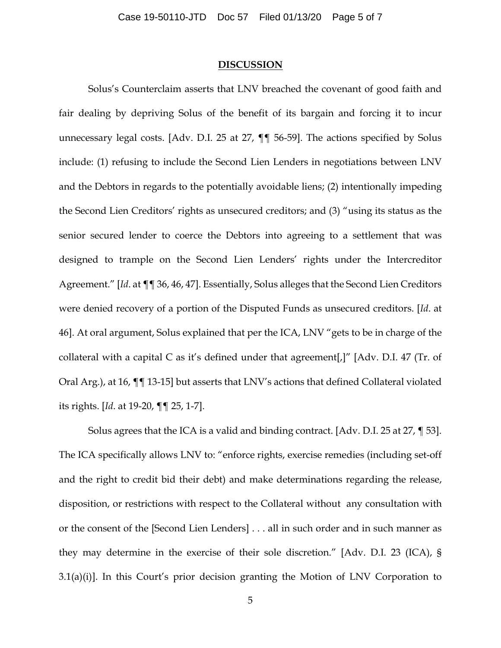#### **DISCUSSION**

Solus's Counterclaim asserts that LNV breached the covenant of good faith and fair dealing by depriving Solus of the benefit of its bargain and forcing it to incur unnecessary legal costs. [Adv. D.I. 25 at 27, ¶¶ 56-59]. The actions specified by Solus include: (1) refusing to include the Second Lien Lenders in negotiations between LNV and the Debtors in regards to the potentially avoidable liens; (2) intentionally impeding the Second Lien Creditors' rights as unsecured creditors; and (3) "using its status as the senior secured lender to coerce the Debtors into agreeing to a settlement that was designed to trample on the Second Lien Lenders' rights under the Intercreditor Agreement." [*Id*. at ¶¶ 36, 46, 47]. Essentially, Solus alleges that the Second Lien Creditors were denied recovery of a portion of the Disputed Funds as unsecured creditors. [*Id*. at 46]. At oral argument, Solus explained that per the ICA, LNV "gets to be in charge of the collateral with a capital C as it's defined under that agreement[,]" [Adv. D.I. 47 (Tr. of Oral Arg.), at 16, ¶¶ 13-15] but asserts that LNV's actions that defined Collateral violated its rights. [*Id*. at 19-20, ¶¶ 25, 1-7].

Solus agrees that the ICA is a valid and binding contract. [Adv. D.I. 25 at 27, ¶ 53]. The ICA specifically allows LNV to: "enforce rights, exercise remedies (including set-off and the right to credit bid their debt) and make determinations regarding the release, disposition, or restrictions with respect to the Collateral without any consultation with or the consent of the [Second Lien Lenders] . . . all in such order and in such manner as they may determine in the exercise of their sole discretion." [Adv. D.I. 23 (ICA), §  $3.1(a)(i)$ ]. In this Court's prior decision granting the Motion of LNV Corporation to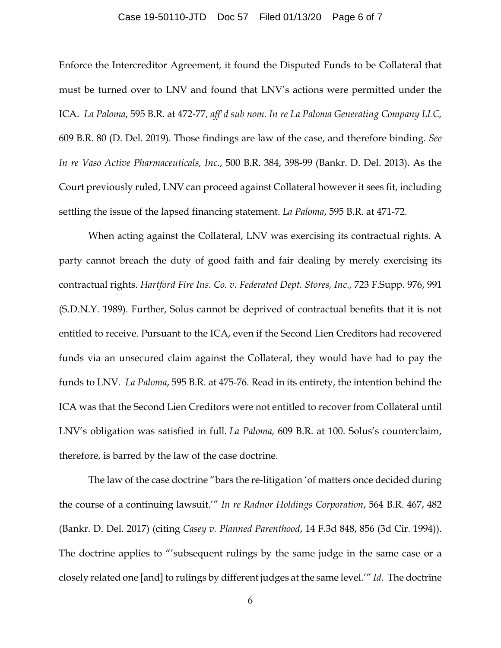#### Case 19-50110-JTD Doc 57 Filed 01/13/20 Page 6 of 7

Enforce the Intercreditor Agreement, it found the Disputed Funds to be Collateral that must be turned over to LNV and found that LNV's actions were permitted under the ICA. *La Paloma*, 595 B.R. at 472-77, *aff'd sub nom. In re La Paloma Generating Company LLC,*  609 B.R. 80 (D. Del. 2019). Those findings are law of the case, and therefore binding. *See In re Vaso Active Pharmaceuticals, Inc*., 500 B.R. 384, 398-99 (Bankr. D. Del. 2013). As the Court previously ruled, LNV can proceed against Collateral however it sees fit, including settling the issue of the lapsed financing statement. *La Paloma*, 595 B.R. at 471-72.

When acting against the Collateral, LNV was exercising its contractual rights. A party cannot breach the duty of good faith and fair dealing by merely exercising its contractual rights. *Hartford Fire Ins. Co. v. Federated Dept. Stores, Inc.,* 723 F.Supp. 976, 991 (S.D.N.Y. 1989). Further, Solus cannot be deprived of contractual benefits that it is not entitled to receive. Pursuant to the ICA, even if the Second Lien Creditors had recovered funds via an unsecured claim against the Collateral, they would have had to pay the funds to LNV. *La Paloma*, 595 B.R. at 475-76. Read in its entirety, the intention behind the ICA was that the Second Lien Creditors were not entitled to recover from Collateral until LNV's obligation was satisfied in full*. La Paloma,* 609 B.R. at 100. Solus's counterclaim, therefore, is barred by the law of the case doctrine.

The law of the case doctrine "bars the re-litigation 'of matters once decided during the course of a continuing lawsuit.'" *In re Radnor Holdings Corporation*, 564 B.R. 467, 482 (Bankr. D. Del. 2017) (citing *Casey v. Planned Parenthood*, 14 F.3d 848, 856 (3d Cir. 1994)). The doctrine applies to "'subsequent rulings by the same judge in the same case or a closely related one [and] to rulings by different judges at the same level.'" *Id.* The doctrine